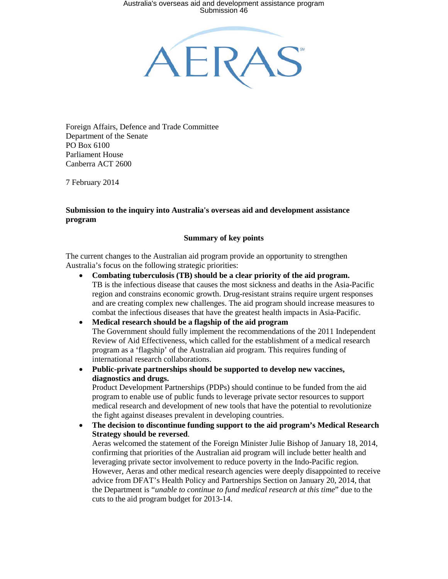AERA:

Foreign Affairs, Defence and Trade Committee Department of the Senate PO Box 6100 Parliament House Canberra ACT 2600

7 February 2014

#### **Submission to the inquiry into Australia's overseas aid and development assistance program**

#### **Summary of key points**

The current changes to the Australian aid program provide an opportunity to strengthen Australia's focus on the following strategic priorities:

- **Combating tuberculosis (TB) should be a clear priority of the aid program.** TB is the infectious disease that causes the most sickness and deaths in the Asia-Pacific region and constrains economic growth. Drug-resistant strains require urgent responses and are creating complex new challenges. The aid program should increase measures to combat the infectious diseases that have the greatest health impacts in Asia-Pacific.
- **Medical research should be a flagship of the aid program** The Government should fully implement the recommendations of the 2011 Independent Review of Aid Effectiveness, which called for the establishment of a medical research program as a 'flagship' of the Australian aid program. This requires funding of international research collaborations.
- **Public-private partnerships should be supported to develop new vaccines, diagnostics and drugs.**

Product Development Partnerships (PDPs) should continue to be funded from the aid program to enable use of public funds to leverage private sector resources to support medical research and development of new tools that have the potential to revolutionize the fight against diseases prevalent in developing countries.

• **The decision to discontinue funding support to the aid program's Medical Research Strategy should be reversed**.

Aeras welcomed the statement of the Foreign Minister Julie Bishop of January 18, 2014, confirming that priorities of the Australian aid program will include better health and leveraging private sector involvement to reduce poverty in the Indo-Pacific region. However, Aeras and other medical research agencies were deeply disappointed to receive advice from DFAT's Health Policy and Partnerships Section on January 20, 2014, that the Department is "*unable to continue to fund medical research at this time*" due to the cuts to the aid program budget for 2013-14.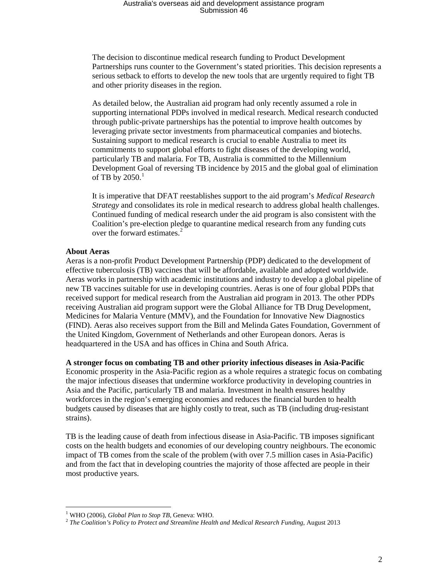The decision to discontinue medical research funding to Product Development Partnerships runs counter to the Government's stated priorities. This decision represents a serious setback to efforts to develop the new tools that are urgently required to fight TB and other priority diseases in the region.

As detailed below, the Australian aid program had only recently assumed a role in supporting international PDPs involved in medical research. Medical research conducted through public-private partnerships has the potential to improve health outcomes by leveraging private sector investments from pharmaceutical companies and biotechs. Sustaining support to medical research is crucial to enable Australia to meet its commitments to support global efforts to fight diseases of the developing world, particularly TB and malaria. For TB, Australia is committed to the Millennium Development Goal of reversing TB incidence by 2015 and the global goal of elimination of TB by  $2050.<sup>1</sup>$  $2050.<sup>1</sup>$  $2050.<sup>1</sup>$ 

It is imperative that DFAT reestablishes support to the aid program's *Medical Research Strategy* and consolidates its role in medical research to address global health challenges. Continued funding of medical research under the aid program is also consistent with the Coalition's pre-election pledge to quarantine medical research from any funding cuts over the forward estimates.<sup>[2](#page-1-1)</sup>

#### **About Aeras**

 $\overline{a}$ 

Aeras is a non-profit Product Development Partnership (PDP) dedicated to the development of effective tuberculosis (TB) vaccines that will be affordable, available and adopted worldwide. Aeras works in partnership with academic institutions and industry to develop a global pipeline of new TB vaccines suitable for use in developing countries. Aeras is one of four global PDPs that received support for medical research from the Australian aid program in 2013. The other PDPs receiving Australian aid program support were the Global Alliance for TB Drug Development, Medicines for Malaria Venture (MMV), and the Foundation for Innovative New Diagnostics (FIND). Aeras also receives support from the Bill and Melinda Gates Foundation, Government of the United Kingdom, Government of Netherlands and other European donors. Aeras is headquartered in the USA and has offices in China and South Africa.

**A stronger focus on combating TB and other priority infectious diseases in Asia-Pacific**

Economic prosperity in the Asia-Pacific region as a whole requires a strategic focus on combating the major infectious diseases that undermine workforce productivity in developing countries in Asia and the Pacific, particularly TB and malaria. Investment in health ensures healthy workforces in the region's emerging economies and reduces the financial burden to health budgets caused by diseases that are highly costly to treat, such as TB (including drug-resistant strains).

TB is the leading cause of death from infectious disease in Asia-Pacific. TB imposes significant costs on the health budgets and economies of our developing country neighbours. The economic impact of TB comes from the scale of the problem (with over 7.5 million cases in Asia-Pacific) and from the fact that in developing countries the majority of those affected are people in their most productive years.

<span id="page-1-1"></span><span id="page-1-0"></span><sup>&</sup>lt;sup>1</sup> WHO (2006), *Global Plan to Stop TB*, Geneva: WHO.<br><sup>2</sup> *The Coalition's Policy to Protect and Streamline Health and Medical Research Funding*, August 2013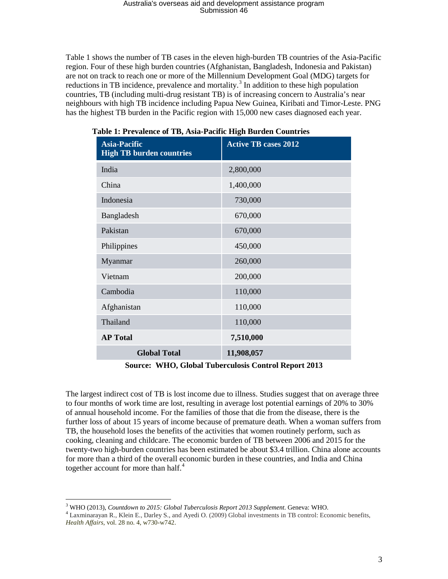Table 1 shows the number of TB cases in the eleven high-burden TB countries of the Asia-Pacific region. Four of these high burden countries (Afghanistan, Bangladesh, Indonesia and Pakistan) are not on track to reach one or more of the Millennium Development Goal (MDG) targets for reductions in TB incidence, prevalence and mortality.<sup>[3](#page-2-0)</sup> In addition to these high population countries, TB (including multi-drug resistant TB) is of increasing concern to Australia's near neighbours with high TB incidence including Papua New Guinea, Kiribati and Timor-Leste. PNG has the highest TB burden in the Pacific region with 15,000 new cases diagnosed each year.

| <b>Asia-Pacific</b><br><b>High TB burden countries</b> | <b>Active TB cases 2012</b> |
|--------------------------------------------------------|-----------------------------|
| India                                                  | 2,800,000                   |
| China                                                  | 1,400,000                   |
| Indonesia                                              | 730,000                     |
| Bangladesh                                             | 670,000                     |
| Pakistan                                               | 670,000                     |
| Philippines                                            | 450,000                     |
| Myanmar                                                | 260,000                     |
| Vietnam                                                | 200,000                     |
| Cambodia                                               | 110,000                     |
| Afghanistan                                            | 110,000                     |
| Thailand                                               | 110,000                     |
| <b>AP Total</b>                                        | 7,510,000                   |
| <b>Global Total</b>                                    | 11,908,057                  |

**Table 1: Prevalence of TB, Asia-Pacific High Burden Countries**

**Source: WHO, Global Tuberculosis Control Report 2013**

The largest indirect cost of TB is lost income due to illness. Studies suggest that on average three to four months of work time are lost, resulting in average lost potential earnings of 20% to 30% of annual household income. For the families of those that die from the disease, there is the further loss of about 15 years of income because of premature death. When a woman suffers from TB, the household loses the benefits of the activities that women routinely perform, such as cooking, cleaning and childcare. The economic burden of TB between 2006 and 2015 for the twenty-two high-burden countries has been estimated be about \$3.4 trillion. China alone accounts for more than a third of the overall economic burden in these countries, and India and China together account for more than half. $4$ 

<span id="page-2-0"></span><sup>&</sup>lt;sup>3</sup> WHO (2013), Countdown to 2015: Global Tuberculosis Report 2013 Supplement. Geneva: WHO.

<span id="page-2-1"></span><sup>&</sup>lt;sup>4</sup> Laxminarayan R., Klein E.[, Darley S.,](http://content.healthaffairs.org/search?author1=Sarah+Darley&sortspec=date&submit=Submit) an[d Ayedi O.](http://content.healthaffairs.org/search?author1=Olusoji+Adeyi&sortspec=date&submit=Submit) (2009) Global investments in TB control: Economic benefits, *Health Affairs*, vol. 28 no. 4, w730-w742.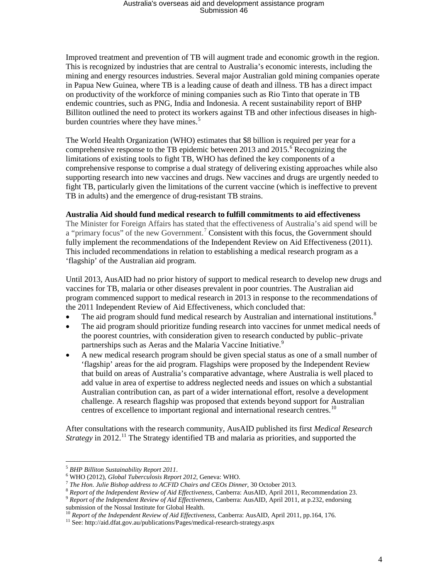Improved treatment and prevention of TB will augment trade and economic growth in the region. This is recognized by industries that are central to Australia's economic interests, including the mining and energy resources industries. Several major Australian gold mining companies operate in Papua New Guinea, where TB is a leading cause of death and illness. TB has a direct impact on productivity of the workforce of mining companies such as Rio Tinto that operate in TB endemic countries, such as PNG, India and Indonesia. A recent sustainability report of BHP Billiton outlined the need to protect its workers against TB and other infectious diseases in high-burden countries where they have mines.<sup>[5](#page-3-0)</sup>

The World Health Organization (WHO) estimates that \$8 billion is required per year for a comprehensive response to the TB epidemic between 2013 and  $2015$ .<sup>[6](#page-3-1)</sup> Recognizing the limitations of existing tools to fight TB, WHO has defined the key components of a comprehensive response to comprise a dual strategy of delivering existing approaches while also supporting research into new vaccines and drugs. New vaccines and drugs are urgently needed to fight TB, particularly given the limitations of the current vaccine (which is ineffective to prevent TB in adults) and the emergence of drug-resistant TB strains.

### **Australia Aid should fund medical research to fulfill commitments to aid effectiveness**

The Minister for Foreign Affairs has stated that the effectiveness of Australia's aid spend will be a "primary focus" of the new Government.<sup>[7](#page-3-2)</sup> Consistent with this focus, the Government should fully implement the recommendations of the Independent Review on Aid Effectiveness (2011). This included recommendations in relation to establishing a medical research program as a 'flagship' of the Australian aid program.

Until 2013, AusAID had no prior history of support to medical research to develop new drugs and vaccines for TB, malaria or other diseases prevalent in poor countries. The Australian aid program commenced support to medical research in 2013 in response to the recommendations of the 2011 Independent Review of Aid Effectiveness, which concluded that:

- The aid program should fund medical research by Australian and international institutions.<sup>[8](#page-3-3)</sup>
- The aid program should prioritize funding research into vaccines for unmet medical needs of the poorest countries, with consideration given to research conducted by public–private partnerships such as Aeras and the Malaria Vaccine Initiative.<sup>[9](#page-3-4)</sup>
- A new medical research program should be given special status as one of a small number of 'flagship' areas for the aid program. Flagships were proposed by the Independent Review that build on areas of Australia's comparative advantage, where Australia is well placed to add value in area of expertise to address neglected needs and issues on which a substantial Australian contribution can, as part of a wider international effort, resolve a development challenge. A research flagship was proposed that extends beyond support for Australian centres of excellence to important regional and international research centres.<sup>[10](#page-3-5)</sup>

After consultations with the research community, AusAID published its first *Medical Research Strategy* in 2012.<sup>[11](#page-3-6)</sup> The Strategy identified TB and malaria as priorities, and supported the

 $\overline{a}$ 

<span id="page-3-2"></span>

<span id="page-3-1"></span><span id="page-3-0"></span><sup>&</sup>lt;sup>5</sup> BHP Billiton Sustainability Report 2011.<br>
<sup>6</sup> WHO (2012), *Global Tuberculosis Report 2012*, Geneva: WHO.<br>
<sup>7</sup> The Hon. Julie Bishop address to ACFID Chairs and CEOs Dinner, 30 October 2013.<br>
<sup>8</sup> Report of the Indepen

<span id="page-3-4"></span><span id="page-3-3"></span>submission of the Nossal Institute for Global Health.

<span id="page-3-6"></span><span id="page-3-5"></span><sup>&</sup>lt;sup>10</sup> *Report of the Independent Review of Aid Effectiveness*, Canberra: AusAID, April 2011, pp.164, 176.<br><sup>11</sup> See: http://aid.dfat.gov.au/publications/Pages/medical-research-strategy.aspx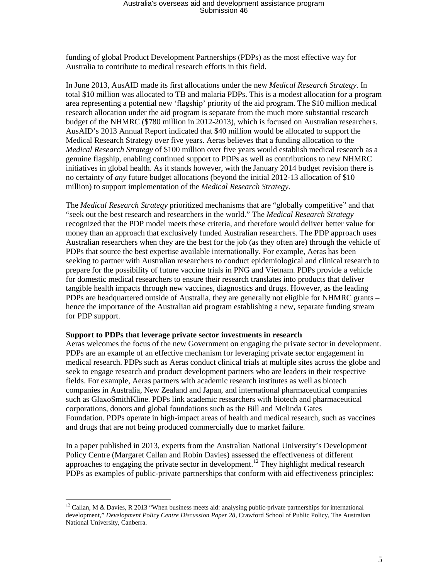funding of global Product Development Partnerships (PDPs) as the most effective way for Australia to contribute to medical research efforts in this field.

In June 2013, AusAID made its first allocations under the new *Medical Research Strategy*. In total \$10 million was allocated to TB and malaria PDPs. This is a modest allocation for a program area representing a potential new 'flagship' priority of the aid program. The \$10 million medical research allocation under the aid program is separate from the much more substantial research budget of the NHMRC (\$780 million in 2012-2013), which is focused on Australian researchers. AusAID's 2013 Annual Report indicated that \$40 million would be allocated to support the Medical Research Strategy over five years. Aeras believes that a funding allocation to the *Medical Research Strategy* of \$100 million over five years would establish medical research as a genuine flagship, enabling continued support to PDPs as well as contributions to new NHMRC initiatives in global health. As it stands however, with the January 2014 budget revision there is no certainty of *any* future budget allocations (beyond the initial 2012-13 allocation of \$10 million) to support implementation of the *Medical Research Strategy.*

The *Medical Research Strategy* prioritized mechanisms that are "globally competitive" and that "seek out the best research and researchers in the world." The *Medical Research Strategy* recognized that the PDP model meets these criteria, and therefore would deliver better value for money than an approach that exclusively funded Australian researchers. The PDP approach uses Australian researchers when they are the best for the job (as they often are) through the vehicle of PDPs that source the best expertise available internationally. For example, Aeras has been seeking to partner with Australian researchers to conduct epidemiological and clinical research to prepare for the possibility of future vaccine trials in PNG and Vietnam. PDPs provide a vehicle for domestic medical researchers to ensure their research translates into products that deliver tangible health impacts through new vaccines, diagnostics and drugs. However, as the leading PDPs are headquartered outside of Australia, they are generally not eligible for NHMRC grants – hence the importance of the Australian aid program establishing a new, separate funding stream for PDP support.

#### **Support to PDPs that leverage private sector investments in research**

 $\overline{a}$ 

Aeras welcomes the focus of the new Government on engaging the private sector in development. PDPs are an example of an effective mechanism for leveraging private sector engagement in medical research. PDPs such as Aeras conduct clinical trials at multiple sites across the globe and seek to engage research and product development partners who are leaders in their respective fields. For example, Aeras partners with academic research institutes as well as biotech companies in Australia, New Zealand and Japan, and international pharmaceutical companies such as GlaxoSmithKline. PDPs link academic researchers with biotech and pharmaceutical corporations, donors and global foundations such as the Bill and Melinda Gates Foundation. PDPs operate in high-impact areas of health and medical research, such as vaccines and drugs that are not being produced commercially due to market failure.

In a paper published in 2013, experts from the Australian National University's Development Policy Centre (Margaret Callan and Robin Davies) assessed the effectiveness of different approaches to engaging the private sector in development.<sup>[12](#page-4-0)</sup> They highlight medical research PDPs as examples of public-private partnerships that conform with aid effectiveness principles:

<span id="page-4-0"></span><sup>&</sup>lt;sup>12</sup> Callan, M & Davies, R 2013 "When business meets aid: analysing public-private partnerships for international development," *Development Policy Centre Discussion Paper 28*, Crawford School of Public Policy, The Australian National University, Canberra.